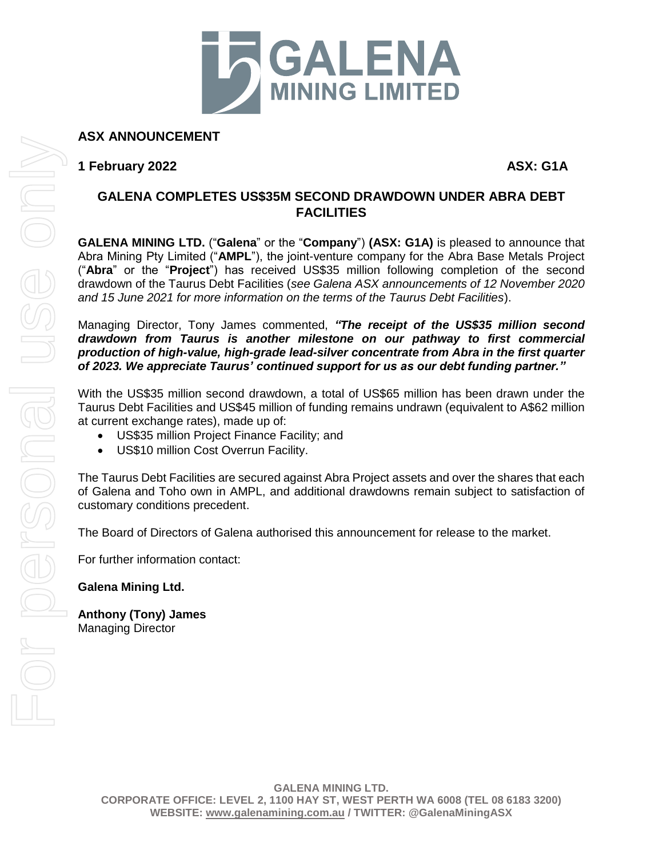

**ASX ANNOUNCEMENT**

**1 February 2022 ASX: G1A**

## **GALENA COMPLETES US\$35M SECOND DRAWDOWN UNDER ABRA DEBT FACILITIES**

**GALENA MINING LTD.** ("**Galena**" or the "**Company**") **(ASX: G1A)** is pleased to announce that Abra Mining Pty Limited ("**AMPL**"), the joint-venture company for the Abra Base Metals Project ("**Abra**" or the "**Project**") has received US\$35 million following completion of the second drawdown of the Taurus Debt Facilities (*see Galena ASX announcements of 12 November 2020 and 15 June 2021 for more information on the terms of the Taurus Debt Facilities*).

Managing Director, Tony James commented, *"The receipt of the US\$35 million second drawdown from Taurus is another milestone on our pathway to first commercial production of high-value, high-grade lead-silver concentrate from Abra in the first quarter of 2023. We appreciate Taurus' continued support for us as our debt funding partner."*

With the US\$35 million second drawdown, a total of US\$65 million has been drawn under the Taurus Debt Facilities and US\$45 million of funding remains undrawn (equivalent to A\$62 million at current exchange rates), made up of:

- US\$35 million Project Finance Facility; and
- US\$10 million Cost Overrun Facility.

The Taurus Debt Facilities are secured against Abra Project assets and over the shares that each of Galena and Toho own in AMPL, and additional drawdowns remain subject to satisfaction of customary conditions precedent.

The Board of Directors of Galena authorised this announcement for release to the market.

For further information contact:

**Galena Mining Ltd.**

**Anthony (Tony) James** Managing Director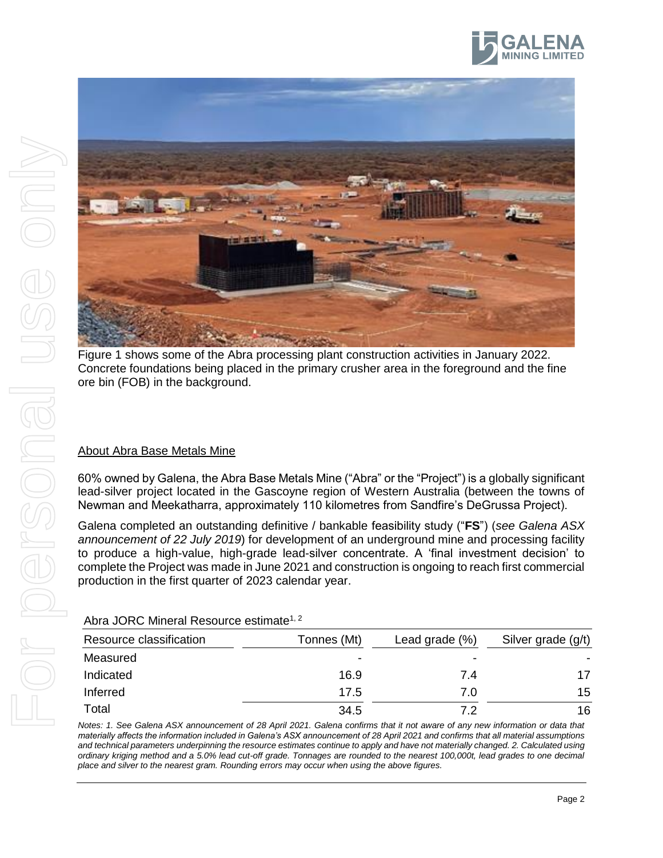





Figure 1 shows some of the Abra processing plant construction activities in January 2022. Concrete foundations being placed in the primary crusher area in the foreground and the fine

60% owned by Galena, the Abra Base Metals Mine ("Abra" or the "Project") is a globally significant lead-silver project located in the Gascoyne region of Western Australia (between the towns of Newman and Meekatharra, approximately 110 kilometres from Sandfire's DeGrussa Project).

Galena completed an outstanding definitive / bankable feasibility study ("**FS**") (*see Galena ASX announcement of 22 July 2019*) for development of an underground mine and processing facility to produce a high-value, high-grade lead-silver concentrate. A 'final investment decision' to complete the Project was made in June 2021 and construction is ongoing to reach first commercial production in the first quarter of 2023 calendar year.

| Resource classification | Tonnes (Mt) | Lead grade $(\%)$        | Silver grade (g/t) |
|-------------------------|-------------|--------------------------|--------------------|
| Measured                | $\,$        | $\overline{\phantom{0}}$ |                    |
| Indicated               | 16.9        | 7.4                      | 17                 |
| Inferred                | 17.5        | 7.0                      | 15                 |
| Total                   | 34.5        | 72                       | 16                 |

Abra JORC Mineral Resource estimate<sup>1, 2</sup>

*Notes: 1. See Galena ASX announcement of 28 April 2021. Galena confirms that it not aware of any new information or data that materially affects the information included in Galena's ASX announcement of 28 April 2021 and confirms that all material assumptions and technical parameters underpinning the resource estimates continue to apply and have not materially changed. 2. Calculated using ordinary kriging method and a 5.0% lead cut-off grade. Tonnages are rounded to the nearest 100,000t, lead grades to one decimal place and silver to the nearest gram. Rounding errors may occur when using the above figures.*